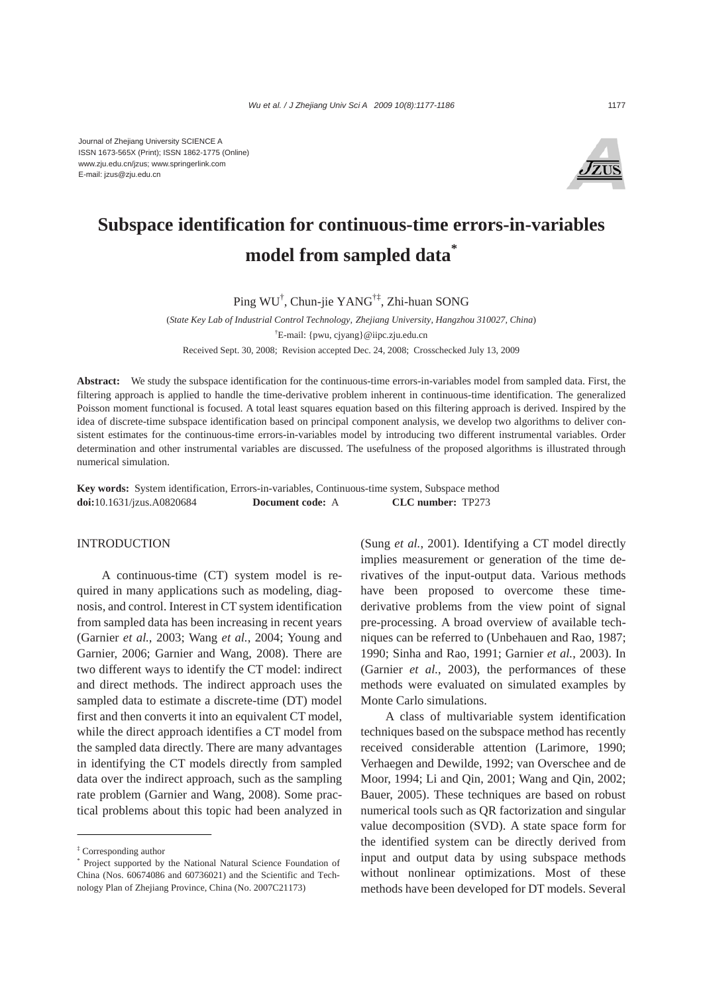

# **Subspace identification for continuous-time errors-in-variables model from sampled data\***

Ping WU† , Chun-jie YANG†‡, Zhi-huan SONG

(*State Key Lab of Industrial Control Technology, Zhejiang University, Hangzhou 310027, China*) † E-mail: {pwu, cjyang}@iipc.zju.edu.cn Received Sept. 30, 2008; Revision accepted Dec. 24, 2008; Crosschecked July 13, 2009

**Abstract:** We study the subspace identification for the continuous-time errors-in-variables model from sampled data. First, the filtering approach is applied to handle the time-derivative problem inherent in continuous-time identification. The generalized Poisson moment functional is focused. A total least squares equation based on this filtering approach is derived. Inspired by the idea of discrete-time subspace identification based on principal component analysis, we develop two algorithms to deliver consistent estimates for the continuous-time errors-in-variables model by introducing two different instrumental variables. Order determination and other instrumental variables are discussed. The usefulness of the proposed algorithms is illustrated through numerical simulation.

**Key words:** System identification, Errors-in-variables, Continuous-time system, Subspace method **doi:**10.1631/jzus.A0820684 **Document code:** A **CLC number:** TP273

## INTRODUCTION

A continuous-time (CT) system model is required in many applications such as modeling, diagnosis, and control. Interest in CT system identification from sampled data has been increasing in recent years (Garnier *et al.*, 2003; Wang *et al.*, 2004; Young and Garnier, 2006; Garnier and Wang, 2008). There are two different ways to identify the CT model: indirect and direct methods. The indirect approach uses the sampled data to estimate a discrete-time (DT) model first and then converts it into an equivalent CT model, while the direct approach identifies a CT model from the sampled data directly. There are many advantages in identifying the CT models directly from sampled data over the indirect approach, such as the sampling rate problem (Garnier and Wang, 2008). Some practical problems about this topic had been analyzed in

(Sung *et al.*, 2001). Identifying a CT model directly implies measurement or generation of the time derivatives of the input-output data. Various methods have been proposed to overcome these timederivative problems from the view point of signal pre-processing. A broad overview of available techniques can be referred to (Unbehauen and Rao, 1987; 1990; Sinha and Rao, 1991; Garnier *et al.*, 2003). In (Garnier *et al.*, 2003), the performances of these methods were evaluated on simulated examples by Monte Carlo simulations.

A class of multivariable system identification techniques based on the subspace method has recently received considerable attention (Larimore, 1990; Verhaegen and Dewilde, 1992; van Overschee and de Moor, 1994; Li and Qin, 2001; Wang and Qin, 2002; Bauer, 2005). These techniques are based on robust numerical tools such as QR factorization and singular value decomposition (SVD). A state space form for the identified system can be directly derived from input and output data by using subspace methods without nonlinear optimizations. Most of these methods have been developed for DT models. Several

<sup>‡</sup> Corresponding author

<sup>\*</sup> Project supported by the National Natural Science Foundation of China (Nos. 60674086 and 60736021) and the Scientific and Technology Plan of Zhejiang Province, China (No. 2007C21173)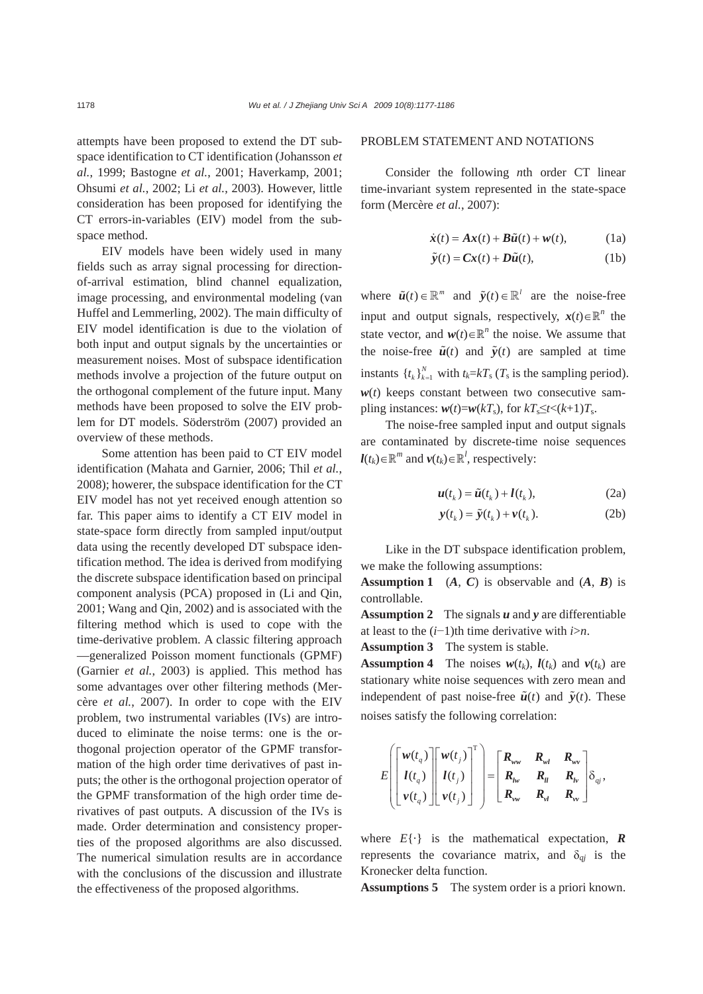attempts have been proposed to extend the DT subspace identification to CT identification (Johansson *et al.*, 1999; Bastogne *et al.*, 2001; Haverkamp, 2001; Ohsumi *et al.*, 2002; Li *et al.*, 2003). However, little consideration has been proposed for identifying the CT errors-in-variables (EIV) model from the subspace method.

EIV models have been widely used in many fields such as array signal processing for directionof-arrival estimation, blind channel equalization, image processing, and environmental modeling (van Huffel and Lemmerling, 2002). The main difficulty of EIV model identification is due to the violation of both input and output signals by the uncertainties or measurement noises. Most of subspace identification methods involve a projection of the future output on the orthogonal complement of the future input. Many methods have been proposed to solve the EIV problem for DT models. Söderström (2007) provided an overview of these methods.

Some attention has been paid to CT EIV model identification (Mahata and Garnier, 2006; Thil *et al.*, 2008); howerer, the subspace identification for the CT EIV model has not yet received enough attention so far. This paper aims to identify a CT EIV model in state-space form directly from sampled input/output data using the recently developed DT subspace identification method. The idea is derived from modifying the discrete subspace identification based on principal component analysis (PCA) proposed in (Li and Qin, 2001; Wang and Qin, 2002) and is associated with the filtering method which is used to cope with the time-derivative problem. A classic filtering approach —generalized Poisson moment functionals (GPMF) (Garnier *et al.*, 2003) is applied. This method has some advantages over other filtering methods (Mercère *et al.*, 2007). In order to cope with the EIV problem, two instrumental variables (IVs) are introduced to eliminate the noise terms: one is the orthogonal projection operator of the GPMF transformation of the high order time derivatives of past inputs; the other is the orthogonal projection operator of the GPMF transformation of the high order time derivatives of past outputs. A discussion of the IVs is made. Order determination and consistency properties of the proposed algorithms are also discussed. The numerical simulation results are in accordance with the conclusions of the discussion and illustrate the effectiveness of the proposed algorithms.

### PROBLEM STATEMENT AND NOTATIONS

Consider the following *n*th order CT linear time-invariant system represented in the state-space form (Mercère *et al.*, 2007):

$$
\dot{\boldsymbol{x}}(t) = A\boldsymbol{x}(t) + B\tilde{\boldsymbol{u}}(t) + \boldsymbol{w}(t), \qquad (1a)
$$

$$
\tilde{\mathbf{y}}(t) = \mathbf{C}\mathbf{x}(t) + \mathbf{D}\tilde{\mathbf{u}}(t),
$$
\n(1b)

where  $\tilde{u}(t) \in \mathbb{R}^m$  and  $\tilde{y}(t) \in \mathbb{R}^l$  are the noise-free input and output signals, respectively,  $x(t) \in \mathbb{R}^n$  the state vector, and  $w(t) \in \mathbb{R}^n$  the noise. We assume that the noise-free  $\tilde{u}(t)$  and  $\tilde{v}(t)$  are sampled at time instants  $\{t_k\}_{k=1}^N$  with  $t_k = kT_s$  ( $T_s$  is the sampling period).  $w(t)$  keeps constant between two consecutive sampling instances:  $w(t) = w(kT_s)$ , for  $kT_s \le t < (k+1)T_s$ .

The noise-free sampled input and output signals are contaminated by discrete-time noise sequences *l*(*t<sub>k</sub>*)∈ $\mathbb{R}^m$  and  $v(t_k) \in \mathbb{R}^l$ , respectively:

$$
\boldsymbol{u}(t_k) = \tilde{\boldsymbol{u}}(t_k) + \boldsymbol{l}(t_k), \tag{2a}
$$

$$
\mathbf{y}(t_k) = \tilde{\mathbf{y}}(t_k) + \mathbf{v}(t_k). \tag{2b}
$$

Like in the DT subspace identification problem, we make the following assumptions:

**Assumption 1** (*A*, *C*) is observable and (*A*, *B*) is controllable.

**Assumption 2** The signals *u* and *y* are differentiable at least to the (*i*−1)th time derivative with *i*>*n*.

**Assumption 3** The system is stable.

**Assumption 4** The noises  $w(t_k)$ ,  $l(t_k)$  and  $v(t_k)$  are stationary white noise sequences with zero mean and independent of past noise-free  $\tilde{u}(t)$  and  $\tilde{y}(t)$ . These noises satisfy the following correlation:

$$
E\left[\begin{bmatrix} \mathbf{w}(t_q) \\ l(t_q) \\ \mathbf{v}(t_q) \end{bmatrix} \begin{bmatrix} \mathbf{w}(t_j) \\ l(t_j) \\ \mathbf{v}(t_j) \end{bmatrix}^{\mathrm{T}} \right] = \begin{bmatrix} \mathbf{R}_{\mathbf{w}\mathbf{w}} & \mathbf{R}_{\mathbf{w}l} & \mathbf{R}_{\mathbf{w}\mathbf{v}} \\ \mathbf{R}_{\mathbf{w}} & \mathbf{R}_{\mathbf{u}} & \mathbf{R}_{\mathbf{w}} \\ \mathbf{R}_{\mathbf{w}\mathbf{w}} & \mathbf{R}_{\mathbf{w}l} & \mathbf{R}_{\mathbf{w}\mathbf{v}} \end{bmatrix} \delta_{qj},
$$

where  $E\{\cdot\}$  is the mathematical expectation, **R** represents the covariance matrix, and  $\delta_{qi}$  is the Kronecker delta function.

**Assumptions 5** The system order is a priori known.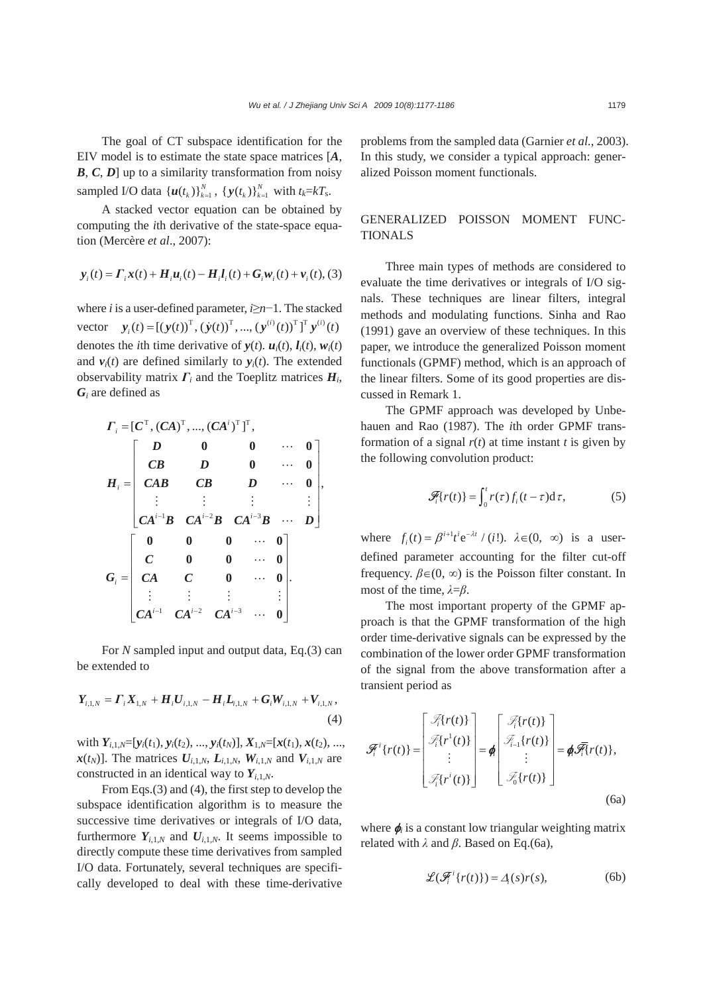,

The goal of CT subspace identification for the EIV model is to estimate the state space matrices [*A*, *B*, *C*, *D*] up to a similarity transformation from noisy sampled I/O data  $\{u(t_k)\}_{k=1}^N$ ,  $\{y(t_k)\}_{k=1}^N$  with  $t_k = kT_s$ .

A stacked vector equation can be obtained by computing the *i*th derivative of the state-space equation (Mercère *et al*., 2007):

$$
y_i(t) = \Gamma_i x(t) + H_i u_i(t) - H_i l_i(t) + G_i w_i(t) + v_i(t),
$$
 (3)

where *i* is a user-defined parameter, *i*≥*n*−1. The stacked vector  $\mathbf{y}_i(t) = [(\mathbf{y}(t))^{\mathrm{T}}, (\dot{\mathbf{y}}(t))^{\mathrm{T}}, ..., (\mathbf{y}^{(i)}(t))^{\mathrm{T}}]^{\mathrm{T}} \mathbf{y}^{(i)}(t)$ denotes the *i*th time derivative of  $y(t)$ .  $u_i(t)$ ,  $l_i(t)$ ,  $w_i(t)$ and  $v_i(t)$  are defined similarly to  $y_i(t)$ . The extended observability matrix *Γi* and the Toeplitz matrices *Hi*, *Gi* are defined as

$$
I_{i} = [C^{T}, (CA)^{T}, ..., (CA^{i})^{T}]^{T},
$$
\n
$$
H_{i} = \begin{bmatrix} D & 0 & 0 & \cdots & 0 \\ CB & D & 0 & \cdots & 0 \\ CAB & CB & D & \cdots & 0 \\ \vdots & \vdots & \vdots & \vdots & \vdots \\ CA^{i-1}B & CA^{i-2}B & CA^{i-3}B & \cdots & D \end{bmatrix}
$$
\n
$$
G_{i} = \begin{bmatrix} 0 & 0 & 0 & \cdots & 0 \\ C & 0 & 0 & \cdots & 0 \\ CA & C & 0 & \cdots & 0 \\ \vdots & \vdots & \vdots & \vdots & \vdots \\ CA^{i-1} & CA^{i-2} & CA^{i-3} & \cdots & 0 \end{bmatrix}.
$$

For *N* sampled input and output data, Eq.(3) can be extended to

$$
Y_{i,1,N} = \Gamma_i X_{1,N} + H_i U_{i,1,N} - H_i L_{i,1,N} + G_i W_{i,1,N} + V_{i,1,N},
$$
\n(4)

with  $Y_{i,1,N}=[y_i(t_1), y_i(t_2), ..., y_i(t_N)], X_{1,N}=[x(t_1), x(t_2), ...,$  $\mathbf{x}(t_N)$ ]. The matrices  $\mathbf{U}_{i,1,N}$ ,  $\mathbf{L}_{i,1,N}$ ,  $\mathbf{W}_{i,1,N}$  and  $\mathbf{V}_{i,1,N}$  are constructed in an identical way to  $Y_{i,1,N}$ .

From Eqs.(3) and (4), the first step to develop the subspace identification algorithm is to measure the successive time derivatives or integrals of I/O data, furthermore  $Y_{i,1,N}$  and  $U_{i,1,N}$ . It seems impossible to directly compute these time derivatives from sampled I/O data. Fortunately, several techniques are specifically developed to deal with these time-derivative problems from the sampled data (Garnier *et al.*, 2003). In this study, we consider a typical approach: generalized Poisson moment functionals.

## GENERALIZED POISSON MOMENT FUNC-TIONALS

Three main types of methods are considered to evaluate the time derivatives or integrals of I/O signals. These techniques are linear filters, integral methods and modulating functions. Sinha and Rao (1991) gave an overview of these techniques. In this paper, we introduce the generalized Poisson moment functionals (GPMF) method, which is an approach of the linear filters. Some of its good properties are discussed in Remark 1.

The GPMF approach was developed by Unbehauen and Rao (1987). The *i*th order GPMF transformation of a signal  $r(t)$  at time instant *t* is given by the following convolution product:

$$
\mathcal{F}_{i}\{r(t)\} = \int_{0}^{t} r(\tau) f_{i}(t-\tau) d\tau, \qquad (5)
$$

where  $f_i(t) = \beta^{i+1} t^i e^{-\lambda t} / (i!)$ .  $\lambda \in (0, \infty)$  is a userdefined parameter accounting for the filter cut-off frequency.  $\beta \in (0, \infty)$  is the Poisson filter constant. In most of the time, *λ*=*β*.

The most important property of the GPMF approach is that the GPMF transformation of the high order time-derivative signals can be expressed by the combination of the lower order GPMF transformation of the signal from the above transformation after a transient period as

$$
\mathcal{F}_i^i\{r(t)\} = \begin{bmatrix} \mathcal{F}_i^i\{r(t)\} \\ \mathcal{F}_i^i\{r^i(t)\} \\ \vdots \\ \mathcal{F}_i^i\{r^i(t)\} \end{bmatrix} = \phi \begin{bmatrix} \mathcal{F}_i^i\{r(t)\} \\ \mathcal{F}_{i-1}^i\{r(t)\} \\ \vdots \\ \mathcal{F}_0^i\{r(t)\} \end{bmatrix} = \phi \tilde{\mathcal{F}_i^i}\{r(t)\},
$$
\n(6a)

where  $\phi$  is a constant low triangular weighting matrix related with *λ* and *β*. Based on Eq.(6a),

$$
\mathcal{L}(\mathcal{F}_i^i\{r(t)\}) = \Delta_i(s)r(s),\tag{6b}
$$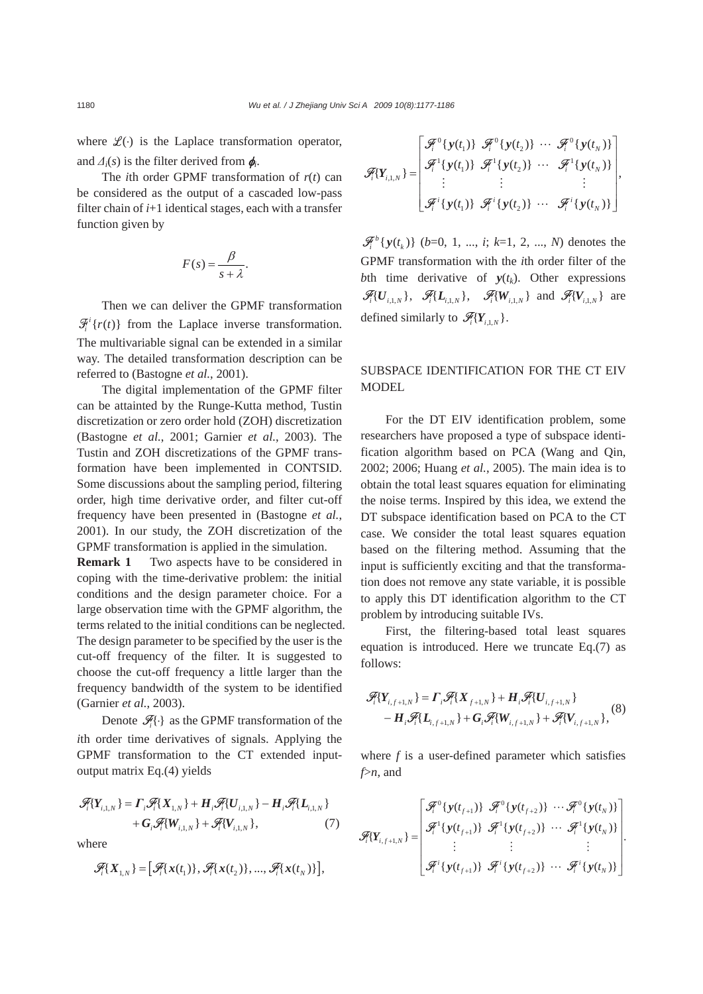where  $\mathcal{L}(\cdot)$  is the Laplace transformation operator, and  $\Delta_i(s)$  is the filter derived from  $\phi_i$ .

The *i*th order GPMF transformation of  $r(t)$  can be considered as the output of a cascaded low-pass filter chain of *i*+1 identical stages, each with a transfer function given by

$$
F(s) = \frac{\beta}{s + \lambda}.
$$

Then we can deliver the GPMF transformation  $\mathcal{F}_i^i\{r(t)\}\$  from the Laplace inverse transformation. The multivariable signal can be extended in a similar way. The detailed transformation description can be referred to (Bastogne *et al.*, 2001).

The digital implementation of the GPMF filter can be attainted by the Runge-Kutta method, Tustin discretization or zero order hold (ZOH) discretization (Bastogne *et al.*, 2001; Garnier *et al.*, 2003). The Tustin and ZOH discretizations of the GPMF transformation have been implemented in CONTSID. Some discussions about the sampling period, filtering order, high time derivative order, and filter cut-off frequency have been presented in (Bastogne *et al.*, 2001). In our study, the ZOH discretization of the GPMF transformation is applied in the simulation.

**Remark 1** Two aspects have to be considered in coping with the time-derivative problem: the initial conditions and the design parameter choice. For a large observation time with the GPMF algorithm, the terms related to the initial conditions can be neglected. The design parameter to be specified by the user is the cut-off frequency of the filter. It is suggested to choose the cut-off frequency a little larger than the frequency bandwidth of the system to be identified (Garnier *et al.*, 2003).

Denote  $\mathscr{F}_i \{\cdot\}$  as the GPMF transformation of the *i*th order time derivatives of signals. Applying the GPMF transformation to the CT extended inputoutput matrix Eq.(4) yields

$$
\mathcal{F}_{i} \{ Y_{i,1,N} \} = \Gamma_{i} \mathcal{F}_{i} \{ X_{1,N} \} + \mathbf{H}_{i} \mathcal{F}_{i} \{ U_{i,1,N} \} - \mathbf{H}_{i} \mathcal{F}_{i} \{ L_{i,1,N} \} \n+ \mathbf{G}_{i} \mathcal{F}_{i} \{ W_{i,1,N} \} + \mathcal{F}_{i} \{ V_{i,1,N} \}, \tag{7}
$$

where

$$
\mathscr{F}_i\{X_{1,N}\} = \big[\mathscr{F}_i\{x(t_1)\}, \mathscr{F}_i\{x(t_2)\}, ..., \mathscr{F}_i\{x(t_N)\}\big],
$$

$$
\mathscr{F}_i\{Y_{i,1,N}\} = \begin{bmatrix} \mathscr{F}_i^0\{y(t_1)\} & \mathscr{F}_i^0\{y(t_2)\} & \cdots & \mathscr{F}_i^0\{y(t_N)\} \\ \mathscr{F}_i^1\{y(t_1)\} & \mathscr{F}_i^1\{y(t_2)\} & \cdots & \mathscr{F}_i^1\{y(t_N)\} \\ \vdots & \vdots & \ddots & \vdots \\ \mathscr{F}_i^i\{y(t_1)\} & \mathscr{F}_i^i\{y(t_2)\} & \cdots & \mathscr{F}_i^i\{y(t_N)\} \end{bmatrix},
$$

 ${\mathscr{F}_i}^b$  {  $y(t_k)$ } (*b*=0, 1, ..., *i*; *k*=1, 2, ..., *N*) denotes the GPMF transformation with the *i*th order filter of the *bth* time derivative of  $y(t_k)$ . Other expressions  $\mathscr{F}_i\{U_{i,N}\},\quad \mathscr{F}_i\{L_{i,N}\},\quad \mathscr{F}_i\{W_{i,N}\}\ \text{and}\ \mathscr{F}_i\{V_{i,N}\}\ \text{are}$ defined similarly to  $\mathscr{F}_{i}Y_{i+N}$ .

# SUBSPACE IDENTIFICATION FOR THE CT EIV MODEL

For the DT EIV identification problem, some researchers have proposed a type of subspace identification algorithm based on PCA (Wang and Qin, 2002; 2006; Huang *et al.*, 2005). The main idea is to obtain the total least squares equation for eliminating the noise terms. Inspired by this idea, we extend the DT subspace identification based on PCA to the CT case. We consider the total least squares equation based on the filtering method. Assuming that the input is sufficiently exciting and that the transformation does not remove any state variable, it is possible to apply this DT identification algorithm to the CT problem by introducing suitable IVs.

First, the filtering-based total least squares equation is introduced. Here we truncate Eq.(7) as follows:

$$
\mathcal{F}_{i} \{ Y_{i,f+1,N} \} = \Gamma_{i} \mathcal{F}_{i} \{ X_{f+1,N} \} + \mathbf{H}_{i} \mathcal{F}_{i} \{ U_{i,f+1,N} \} \n- \mathbf{H}_{i} \mathcal{F}_{i} \{ \mathbf{L}_{i,f+1,N} \} + \mathbf{G}_{i} \mathcal{F}_{i} \{ W_{i,f+1,N} \} + \mathcal{F}_{i} \{ V_{i,f+1,N} \},
$$
\n(8)

where *f* is a user-defined parameter which satisfies *f*>*n*, and

$$
\mathcal{F}_{i}[Y_{i,f+1,N}] = \begin{bmatrix} \mathcal{F}_{i}^{0} \{ y(t_{f+1}) \} & \mathcal{F}_{i}^{0} \{ y(t_{f+2}) \} & \cdots \mathcal{F}_{i}^{0} \{ y(t_{N}) \} \\ \mathcal{F}_{i}^{1} \{ y(t_{f+1}) \} & \mathcal{F}_{i}^{1} \{ y(t_{f+2}) \} & \cdots \mathcal{F}_{i}^{1} \{ y(t_{N}) \} \\ \vdots & \vdots & \vdots \\ \mathcal{F}_{i}^{i} \{ y(t_{f+1}) \} & \mathcal{F}_{i}^{i} \{ y(t_{f+2}) \} & \cdots \mathcal{F}_{i}^{i} \{ y(t_{N}) \} \end{bmatrix}.
$$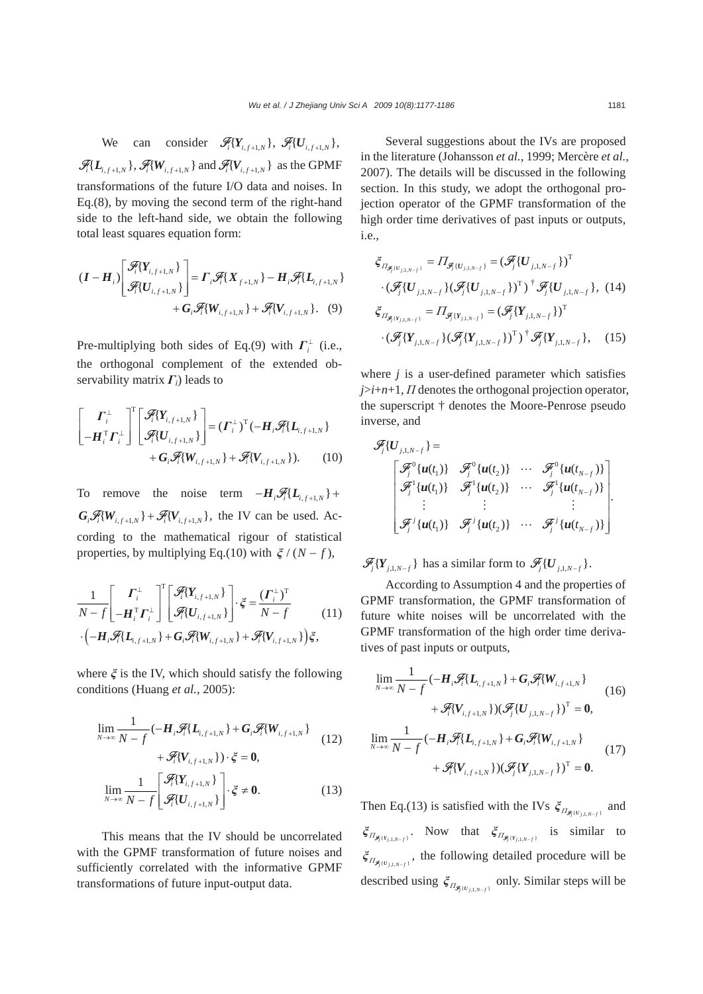We can consider  $\mathscr{F}_{i} \{Y_{i,f+1,N}\}, \mathscr{F}_{i} \{U_{i,f+1,N}\},\$  $\mathscr{F}_i\{L_{i,f+1,N}\}\$ ,  $\mathscr{F}_i\{W_{i,f+1,N}\}\$  and  $\mathscr{F}_i\{V_{i,f+1,N}\}\$  as the GPMF transformations of the future I/O data and noises. In Eq.(8), by moving the second term of the right-hand side to the left-hand side, we obtain the following total least squares equation form:

$$
(I - H_i) \left[ \begin{array}{c} \mathcal{F}_i \{ Y_{i,f+1,N} \} \\ \mathcal{F}_i \{ U_{i,f+1,N} \} \end{array} \right] = \Gamma_i \mathcal{F}_i \{ X_{f+1,N} \} - H_i \mathcal{F}_i \{ L_{i,f+1,N} \} \\ + G_i \mathcal{F}_i \{ W_{i,f+1,N} \} + \mathcal{F}_i \{ V_{i,f+1,N} \}. \quad (9)
$$

Pre-multiplying both sides of Eq.(9) with  $\Gamma_i^{\perp}$  (i.e., the orthogonal complement of the extended observability matrix *Γi*) leads to

$$
\begin{bmatrix} \boldsymbol{\varGamma}_{i}^{\perp} \\ -\boldsymbol{H}_{i}^{\mathrm{T}} \boldsymbol{\varGamma}_{i}^{\perp} \end{bmatrix}^{\mathrm{T}} \begin{bmatrix} \mathcal{F}_{i}[\boldsymbol{Y}_{i,f+1,N}] \\ \mathcal{F}_{i}[\boldsymbol{U}_{i,f+1,N}] \end{bmatrix} = (\boldsymbol{\varGamma}_{i}^{\perp})^{\mathrm{T}} (-\boldsymbol{H}_{i} \mathcal{F}_{i} \{\boldsymbol{L}_{i,f+1,N}\} \\ + \boldsymbol{G}_{i} \mathcal{F}_{i}[\boldsymbol{W}_{i,f+1,N}] + \mathcal{F}_{i}[\boldsymbol{V}_{i,f+1,N}]). \tag{10}
$$

To remove the noise term  $-H_i \mathscr{F}_i \{L_{i,f+1,N}\} +$  $G_i \mathscr{F}_i \{W_{i,f+1,N}\} + \mathscr{F}_i \{V_{i,f+1,N}\}\$ , the IV can be used. According to the mathematical rigour of statistical properties, by multiplying Eq.(10) with  $\xi/(N - f)$ ,

$$
\frac{1}{N-f} \begin{bmatrix} \boldsymbol{\varGamma}_{i}^{\perp} \\ -\boldsymbol{H}_{i}^{\mathrm{T}} \boldsymbol{\varGamma}_{i}^{\perp} \end{bmatrix}^{\mathrm{T}} \begin{bmatrix} \mathcal{F}_{i}(\boldsymbol{Y}_{i,f+1,N}) \\ \mathcal{F}_{i}(\boldsymbol{U}_{i,f+1,N}) \end{bmatrix} \cdot \boldsymbol{\xi} = \frac{(\boldsymbol{\varGamma}_{i}^{\perp})^{\mathrm{T}}}{N-f} \qquad (11)
$$
\n
$$
\cdot \left( -\boldsymbol{H}_{i} \mathcal{F}_{i}(\boldsymbol{L}_{i,f+1,N}) + \boldsymbol{G}_{i} \mathcal{F}_{i}(\boldsymbol{W}_{i,f+1,N}) + \mathcal{F}_{i}(\boldsymbol{V}_{i,f+1,N}) \right) \boldsymbol{\xi},
$$

where *ξ* is the IV, which should satisfy the following conditions (Huang *et al.*, 2005):

$$
\lim_{N \to \infty} \frac{1}{N - f} \left( -H_i \mathcal{F}_i \{ L_{i, f+1, N} \} + G_i \mathcal{F}_i \{ W_{i, f+1, N} \} \right) + \mathcal{F}_i \{ V_{i, f+1, N} \} \cdot \xi = 0,
$$
\n
$$
\lim_{N \to \infty} \frac{1}{N - f} \left[ \mathcal{F}_i \{ Y_{i, f+1, N} \} \right] \cdot \xi \neq 0.
$$
\n(13)

This means that the IV should be uncorrelated with the GPMF transformation of future noises and sufficiently correlated with the informative GPMF transformations of future input-output data.

Several suggestions about the IVs are proposed in the literature (Johansson *et al.*, 1999; Mercère *et al.*, 2007). The details will be discussed in the following section. In this study, we adopt the orthogonal projection operator of the GPMF transformation of the high order time derivatives of past inputs or outputs, i.e.,

$$
\xi_{\Pi_{\mathcal{F}_{j}(U_{j,1,N-f})}} = \Pi_{\mathcal{F}_{j}(U_{j,1,N-f})} = (\mathcal{F}_{j} \{U_{j,1,N-f}\})^{T}
$$

$$
\cdot (\mathcal{F}_{j} \{U_{j,1,N-f}\} (\mathcal{F}_{j} \{U_{j,1,N-f}\})^{T})^{\dagger} \mathcal{F}_{j} \{U_{j,1,N-f}\}, (14)
$$

$$
\xi_{\Pi_{\mathcal{F}_{j}(Y_{j,1,N-f})}} = \Pi_{\mathcal{F}_{j}(Y_{j,1,N-f})} = (\mathcal{F}_{j} \{Y_{j,1,N-f}\})^{T}
$$

$$
\cdot (\mathcal{F}_{j} \{Y_{j,1,N-f}\} (\mathcal{F}_{j} \{Y_{j,1,N-f}\})^{T})^{\dagger} \mathcal{F}_{j} \{Y_{j,1,N-f}\}, (15)
$$

where *j* is a user-defined parameter which satisfies *j*>*i*+*n*+1, *Π* denotes the orthogonal projection operator, the superscript † denotes the Moore-Penrose pseudo inverse, and

$$
\mathcal{F}_j\{U_{j,1,N-f}\}=\n\begin{bmatrix}\n\mathcal{F}_j^{0}\{u(t_1)\} & \mathcal{F}_j^{0}\{u(t_2)\} & \cdots & \mathcal{F}_j^{0}\{u(t_{N-f})\} \\
\mathcal{F}_j^{1}\{u(t_1)\} & \mathcal{F}_j^{1}\{u(t_2)\} & \cdots & \mathcal{F}_j^{1}\{u(t_{N-f})\} \\
\vdots & \vdots & \vdots & \vdots \\
\mathcal{F}_j^{j}\{u(t_1)\} & \mathcal{F}_j^{j}\{u(t_2)\} & \cdots & \mathcal{F}_j^{j}\{u(t_{N-f})\}\n\end{bmatrix}.
$$

 $\mathscr{F}_i \{ Y_{i, 1, N-f} \}$  has a similar form to  $\mathscr{F}_i \{ U_{i, 1, N-f} \}.$ 

According to Assumption 4 and the properties of GPMF transformation, the GPMF transformation of future white noises will be uncorrelated with the GPMF transformation of the high order time derivatives of past inputs or outputs,

$$
\lim_{N \to \infty} \frac{1}{N - f} \left( -H_i \mathcal{F}_i \{L_{i, f+1, N}\} + G_i \mathcal{F}_i \{W_{i, f+1, N}\} + \mathcal{F}_i \{V_{i, f+1, N}\} \right) \qquad (16)
$$
\n
$$
+ \mathcal{F}_i \{V_{i, f+1, N}\} \left( \mathcal{F}_j \{U_{j, 1, N-f}\} \right)^T = \mathbf{0},
$$
\n
$$
\lim_{N \to \infty} \frac{1}{N - f} \left( -H_i \mathcal{F}_i \{L_{i, f+1, N}\} + G_i \mathcal{F}_i \{W_{i, f+1, N}\} \right) \qquad (17)
$$

$$
\lim_{N \to \infty} N - f \quad (17)
$$
  
+  $\mathcal{F}_i \{V_{i,f+1,N}\}\n \big( \mathcal{F}_j \{Y_{j,1,N-f}\}\big)^T = 0.$ 

Then Eq.(13) is satisfied with the IVs  $\zeta_{\mathit{H}_{\mathcal{F}_{j}(U_{j,1,N-f})}}$  and  ${\xi}_{\Pi_{\mathcal{F}_j(Y_{j,1,N-f})}}$ . Now that  ${\xi}_{\Pi_{\mathcal{F}_j(Y_{j,1,N-f})}}$  is similar to  ${\xi}_{\mathcal{I}_{\mathcal{F}_j \left( U_{j,1,N-f} \right)}}$ , the following detailed procedure will be described using  $\xi_{\Pi_{\mathbf{F}_i(U_{i,1,N-f})}}$  only. Similar steps will be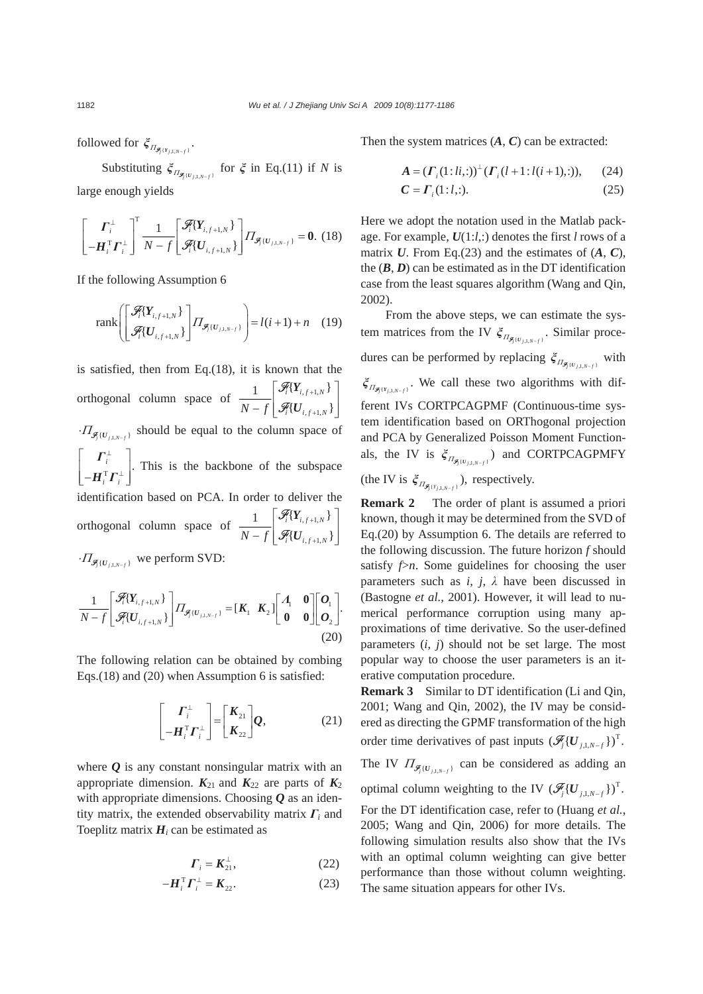followed for  $\zeta_{\Pi_{\mathcal{F}_j(Y_{j,1,N-f})}}$ .

Substituting  $\xi_{\Pi_{\mathcal{F}_j(U_{j,1,N-f})}}$  for  $\xi$  in Eq.(11) if *N* is large enough yields

$$
\begin{bmatrix} \boldsymbol{\varGamma}_{i}^{\perp} \\ -\boldsymbol{H}_{i}^{\mathrm{T}}\boldsymbol{\varGamma}_{i}^{\perp} \end{bmatrix}^{\mathrm{T}}\frac{1}{N-f} \begin{bmatrix} \mathcal{F}_{i}[Y_{i,f+1,N}]\ \mathcal{F}_{i}[U_{i,f+1,N}]\end{bmatrix} \boldsymbol{\varPi}_{\mathcal{F}_{i}[U_{j,1,N-f})} = \mathbf{0}. \tag{18}
$$

If the following Assumption 6

$$
\text{rank}\left[\begin{bmatrix} \mathcal{F}_i[Y_{i,f+1,N} \\ \mathcal{F}_i[U_{i,f+1,N}\end{bmatrix}\right] \prod_{\mathcal{F}_j\{U_{j,1,N-f}\}}\right] = l(i+1) + n \quad (19)
$$

is satisfied, then from Eq.(18), it is known that the orthogonal column space of  $\frac{1}{\sqrt{2}} \int_{0}^{\infty} \frac{V_i \cdot V_{i,f+1}}{Z(x)} dx$  $, f+1,$  ${1 \quad \lceil \mathcal{F}_i(Y_{i,f+1,N}) \rceil}$  $\{U_{\frac{f+1}{f+1}N}\}$ F F  $i \downarrow i, f+1, N$  $N-f\bigm|\mathscr{F}_i[\boldsymbol{U}_{i,f+1,N}]$ + +  $\vert \mathscr{F}_{i} \{ Y_{i,t+1,N} \} \vert \vert$  $\frac{1}{1-f} \left[ \mathcal{F}_i \{ \bm{U}_{i,f+1,N} \} \right]$ *Y U*  $\cdot I_{\mathcal{F}(U_{\text{max}})}$  should be equal to the column space of  $\frac{i}{i} \bm{\varGamma}_{\bm{i}} \frac{1}{\bm{\varGamma}}$ ⊥ ⊥  $|\quad \Gamma^{\perp}_{i} \quad |$  $\left\lfloor \textit{} - \textit{\textbf{H}}_i^\mathrm{T} \boldsymbol{\varGamma}_i^\perp \textit{}\ \right\rfloor$ *Γ*  $\boldsymbol{H}_{i}^{\text{T}}\boldsymbol{\varGamma}$  This is the backbone of the subspace identification based on PCA. In order to deliver the orthogonal column space of  $\frac{1}{\sqrt{2}} \int_{0}^{\infty} \frac{V_i \cdot V_{i,f+1}}{\sqrt{2}}$  $, f+1,$  ${1 \quad \lceil \mathcal{F}_i(Y_{i,f+1,N}) \rceil}$  $\{\boldsymbol{U}_{i}|_{t+1|N}\}$ F F  $i \downarrow i, f+1, N$  $N-f\bigm|\mathscr{F}_i[\boldsymbol{U}_{i,f+1,N}]$ + +  $\vert \mathscr{F}_{i} \{ Y_{i,t+1,N} \} \vert \vert$  $\frac{1}{1-f}$   $\left[ \mathcal{F}_i \{ \bm{U}_{i,f+1,N} \} \right]$ *Y U*  $\cdot \Pi_{\mathcal{F}_{\{U_{i+1}, v\}}}\;$  we perform SVD:

$$
\frac{1}{N-f} \begin{bmatrix} \mathcal{F}_i \{Y_{i,f+1,N}\} \\ \mathcal{F}_i \{U_{i,f+1,N}\} \end{bmatrix} \prod_{j \in \mathcal{F}_j \{U_{j,N-f}\}} = \begin{bmatrix} K_1 & K_2 \end{bmatrix} \begin{bmatrix} A_1 & \mathbf{0} \\ \mathbf{0} & \mathbf{0} \end{bmatrix} \begin{bmatrix} \mathbf{0}_1 \\ \mathbf{0}_2 \end{bmatrix} .
$$
\n(20)

The following relation can be obtained by combing Eqs.(18) and (20) when Assumption 6 is satisfied:

$$
\begin{bmatrix} \boldsymbol{\varGamma}_{i}^{\perp} \\ -\boldsymbol{\varPi}_{i}^{\mathrm{T}}\boldsymbol{\varGamma}_{i}^{\perp} \end{bmatrix} = \begin{bmatrix} \boldsymbol{K}_{21} \\ \boldsymbol{K}_{22} \end{bmatrix} \boldsymbol{Q}, \qquad (21)
$$

where *Q* is any constant nonsingular matrix with an appropriate dimension.  $K_{21}$  and  $K_{22}$  are parts of  $K_2$ with appropriate dimensions. Choosing *Q* as an identity matrix, the extended observability matrix *Γi* and Toeplitz matrix  $H_i$  can be estimated as

$$
\boldsymbol{\varGamma}_{i} = \boldsymbol{K}_{21}^{\perp},\tag{22}
$$

$$
-\boldsymbol{H}_{i}^{\mathrm{T}}\boldsymbol{\varGamma}_{i}^{\perp}=\boldsymbol{K}_{22}.
$$
 (23)

Then the system matrices  $(A, C)$  can be extracted:

$$
A = (\Gamma_i(1:li,:))^\perp (\Gamma_i(l+1:li(i+1,:))), \qquad (24)
$$

$$
\mathbf{C} = \mathbf{\Gamma}_i (1:l,:). \tag{25}
$$

Here we adopt the notation used in the Matlab package. For example, *U*(1:*l*,:) denotes the first *l* rows of a matrix *U*. From Eq.(23) and the estimates of (*A*, *C*), the  $(B, D)$  can be estimated as in the DT identification case from the least squares algorithm (Wang and Qin, 2002).

From the above steps, we can estimate the system matrices from the IV  $\zeta_{\Pi_{\mathcal{F}_j(U_{j,1,N-f})}}$ . Similar procedures can be performed by replacing  $\xi_{\Pi_{\mathcal{F}_j[U_{j,1,N-f}}}\$  with  $\xi_{\Pi_{\mathcal{F}_j(Y_{j,1,N-f})}}$ . We call these two algorithms with different IVs CORTPCAGPMF (Continuous-time system identification based on ORThogonal projection and PCA by Generalized Poisson Moment Functionals, the IV is  $\xi_{\Pi_{\mathcal{F}_j(U_{j,1,N-f})}}$  and CORTPCAGPMFY (the IV is  $\xi_{\Pi_{\mathcal{F}_j(Y_{j,1,N-f})}}$ ), respectively.

**Remark 2** The order of plant is assumed a priori known, though it may be determined from the SVD of Eq.(20) by Assumption 6. The details are referred to the following discussion. The future horizon *f* should satisfy  $\beta$ *n*. Some guidelines for choosing the user parameters such as  $i$ ,  $j$ ,  $\lambda$  have been discussed in (Bastogne *et al.*, 2001). However, it will lead to numerical performance corruption using many approximations of time derivative. So the user-defined parameters (*i*, *j*) should not be set large. The most popular way to choose the user parameters is an iterative computation procedure.

**Remark 3** Similar to DT identification (Li and Qin, 2001; Wang and Qin, 2002), the IV may be considered as directing the GPMF transformation of the high order time derivatives of past inputs  $(\mathscr{F}_j \{U_{j,1,N-f}\})^T$ .

The IV  $\Pi_{\mathcal{F}_j \{U_{j, 1, N-f}\}}$  can be considered as adding an

optimal column weighting to the IV  $(\mathscr{F}_j \{U_{j,1,N-f}\})^T$ . For the DT identification case, refer to (Huang *et al.*, 2005; Wang and Qin, 2006) for more details. The following simulation results also show that the IVs with an optimal column weighting can give better performance than those without column weighting. The same situation appears for other IVs.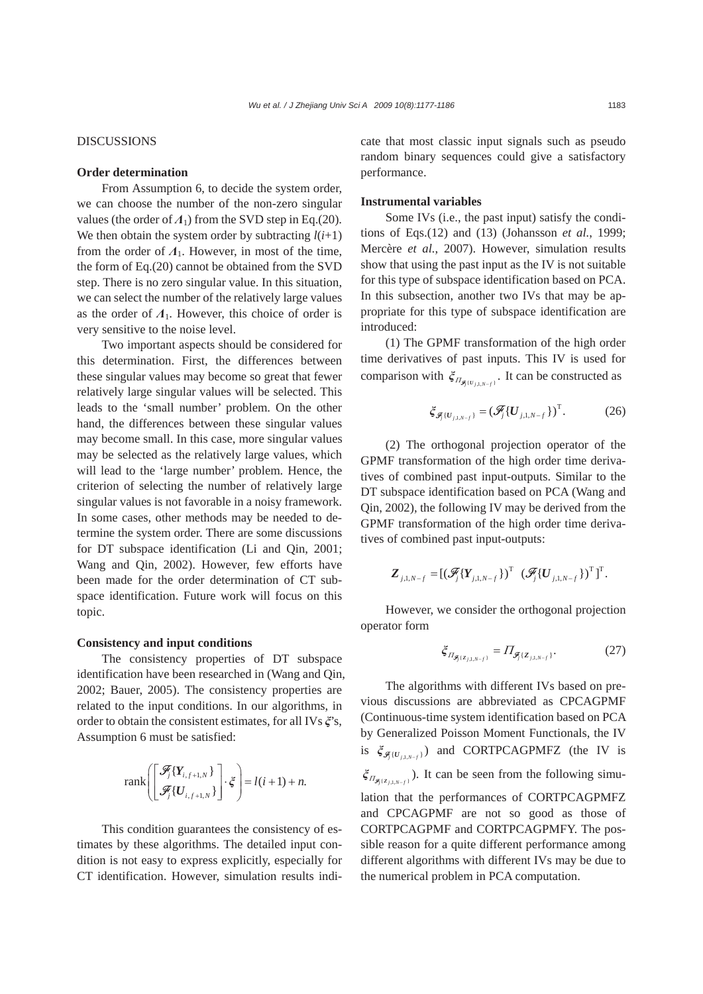### DISCUSSIONS

## **Order determination**

From Assumption 6, to decide the system order, we can choose the number of the non-zero singular values (the order of  $\Lambda_1$ ) from the SVD step in Eq.(20). We then obtain the system order by subtracting  $l(i+1)$ from the order of  $\Lambda_1$ . However, in most of the time, the form of Eq.(20) cannot be obtained from the SVD step. There is no zero singular value. In this situation, we can select the number of the relatively large values as the order of *Λ*1. However, this choice of order is very sensitive to the noise level.

Two important aspects should be considered for this determination. First, the differences between these singular values may become so great that fewer relatively large singular values will be selected. This leads to the 'small number' problem. On the other hand, the differences between these singular values may become small. In this case, more singular values may be selected as the relatively large values, which will lead to the 'large number' problem. Hence, the criterion of selecting the number of relatively large singular values is not favorable in a noisy framework. In some cases, other methods may be needed to determine the system order. There are some discussions for DT subspace identification (Li and Qin, 2001; Wang and Qin, 2002). However, few efforts have been made for the order determination of CT subspace identification. Future work will focus on this topic.

## **Consistency and input conditions**

The consistency properties of DT subspace identification have been researched in (Wang and Qin, 2002; Bauer, 2005). The consistency properties are related to the input conditions. In our algorithms, in order to obtain the consistent estimates, for all IVs *ξ*'s, Assumption 6 must be satisfied:

$$
\text{rank}\left(\begin{bmatrix} \mathcal{F}_j\{Y_{i,f+1,N}\} \\ \mathcal{F}_j\{U_{i,f+1,N}\} \end{bmatrix} \cdot \xi\right) = l(i+1) + n.
$$

This condition guarantees the consistency of estimates by these algorithms. The detailed input condition is not easy to express explicitly, especially for CT identification. However, simulation results indicate that most classic input signals such as pseudo random binary sequences could give a satisfactory performance.

#### **Instrumental variables**

Some IVs (i.e., the past input) satisfy the conditions of Eqs.(12) and (13) (Johansson *et al.*, 1999; Mercère *et al.*, 2007). However, simulation results show that using the past input as the IV is not suitable for this type of subspace identification based on PCA. In this subsection, another two IVs that may be appropriate for this type of subspace identification are introduced:

(1) The GPMF transformation of the high order time derivatives of past inputs. This IV is used for comparison with  $\xi_{\Pi_{\mathcal{F}_j(U_{i,1,N-f})}}$ . It can be constructed as

$$
\xi_{\mathcal{F}_j\{U_{j,1,N-f}\}} = (\mathcal{F}_j\{U_{j,1,N-f}\})^T.
$$
 (26)

(2) The orthogonal projection operator of the GPMF transformation of the high order time derivatives of combined past input-outputs. Similar to the DT subspace identification based on PCA (Wang and Qin, 2002), the following IV may be derived from the GPMF transformation of the high order time derivatives of combined past input-outputs:

$$
\boldsymbol{Z}_{j,\boldsymbol{1},N-f} = [(\mathcal{F}_j\{\boldsymbol{Y}_{j,\boldsymbol{1},N-f}\})^{\mathrm{T}} \ \ (\mathcal{F}_j\{\boldsymbol{U}_{j,\boldsymbol{1},N-f}\})^{\mathrm{T}}]^{\mathrm{T}}.
$$

However, we consider the orthogonal projection operator form

$$
\xi_{\Pi_{\mathcal{F}_j(\mathbf{Z}_{j,1,N-f})}} = \Pi_{\mathcal{F}_j(\mathbf{Z}_{j,1,N-f})}.
$$
 (27)

The algorithms with different IVs based on previous discussions are abbreviated as CPCAGPMF (Continuous-time system identification based on PCA by Generalized Poisson Moment Functionals, the IV is  $\zeta_{\mathcal{F}_{\{U_{i,1}, \ldots, \ell\}}}\right)$  and CORTPCAGPMFZ (the IV is  $\xi_{\Pi_{\mathcal{F}_i[\mathcal{Z}_{i,1,N-f}]} }$ ). It can be seen from the following simulation that the performances of CORTPCAGPMFZ and CPCAGPMF are not so good as those of CORTPCAGPMF and CORTPCAGPMFY. The possible reason for a quite different performance among different algorithms with different IVs may be due to the numerical problem in PCA computation.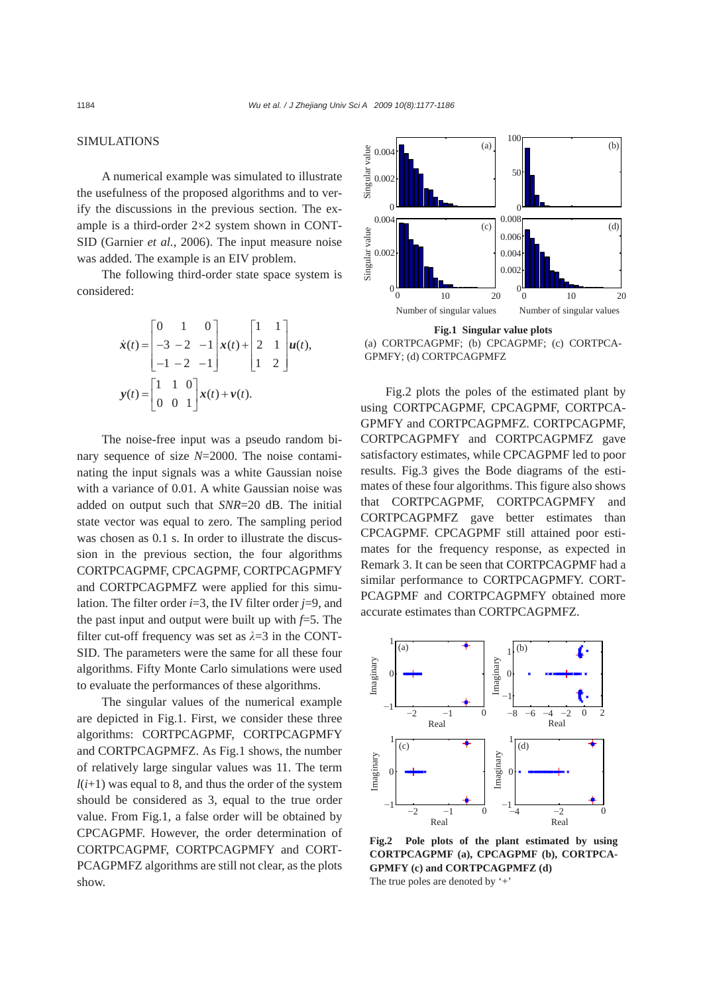## SIMULATIONS

A numerical example was simulated to illustrate the usefulness of the proposed algorithms and to verify the discussions in the previous section. The example is a third-order 2×2 system shown in CONT-SID (Garnier *et al.*, 2006). The input measure noise was added. The example is an EIV problem.

The following third-order state space system is considered:

$$
\dot{\mathbf{x}}(t) = \begin{bmatrix} 0 & 1 & 0 \\ -3 & -2 & -1 \\ -1 & -2 & -1 \end{bmatrix} \mathbf{x}(t) + \begin{bmatrix} 1 & 1 \\ 2 & 1 \\ 1 & 2 \end{bmatrix} \mathbf{u}(t),
$$

$$
\mathbf{y}(t) = \begin{bmatrix} 1 & 1 & 0 \\ 0 & 0 & 1 \end{bmatrix} \mathbf{x}(t) + \mathbf{v}(t).
$$

The noise-free input was a pseudo random binary sequence of size *N*=2000. The noise contaminating the input signals was a white Gaussian noise with a variance of 0.01. A white Gaussian noise was added on output such that *SNR*=20 dB. The initial state vector was equal to zero. The sampling period was chosen as 0.1 s. In order to illustrate the discussion in the previous section, the four algorithms CORTPCAGPMF, CPCAGPMF, CORTPCAGPMFY and CORTPCAGPMFZ were applied for this simulation. The filter order *i*=3, the IV filter order *j*=9, and the past input and output were built up with *f*=5. The filter cut-off frequency was set as *λ*=3 in the CONT-SID. The parameters were the same for all these four algorithms. Fifty Monte Carlo simulations were used to evaluate the performances of these algorithms.

The singular values of the numerical example are depicted in Fig.1. First, we consider these three algorithms: CORTPCAGPMF, CORTPCAGPMFY and CORTPCAGPMFZ. As Fig.1 shows, the number of relatively large singular values was 11. The term  $l(i+1)$  was equal to 8, and thus the order of the system should be considered as 3, equal to the true order value. From Fig.1, a false order will be obtained by CPCAGPMF. However, the order determination of CORTPCAGPMF, CORTPCAGPMFY and CORT-PCAGPMFZ algorithms are still not clear, as the plots show.



**Fig.1 Singular value plots**  (a) CORTPCAGPMF; (b) CPCAGPMF; (c) CORTPCA-GPMFY; (d) CORTPCAGPMFZ

Fig.2 plots the poles of the estimated plant by using CORTPCAGPMF, CPCAGPMF, CORTPCA-GPMFY and CORTPCAGPMFZ. CORTPCAGPMF, CORTPCAGPMFY and CORTPCAGPMFZ gave satisfactory estimates, while CPCAGPMF led to poor results. Fig.3 gives the Bode diagrams of the estimates of these four algorithms. This figure also shows that CORTPCAGPMF, CORTPCAGPMFY and CORTPCAGPMFZ gave better estimates than CPCAGPMF. CPCAGPMF still attained poor estimates for the frequency response, as expected in Remark 3. It can be seen that CORTPCAGPMF had a similar performance to CORTPCAGPMFY. CORT-PCAGPMF and CORTPCAGPMFY obtained more accurate estimates than CORTPCAGPMFZ.



**Fig.2 Pole plots of the plant estimated by using CORTPCAGPMF (a), CPCAGPMF (b), CORTPCA-GPMFY (c) and CORTPCAGPMFZ (d)**  The true poles are denoted by '+'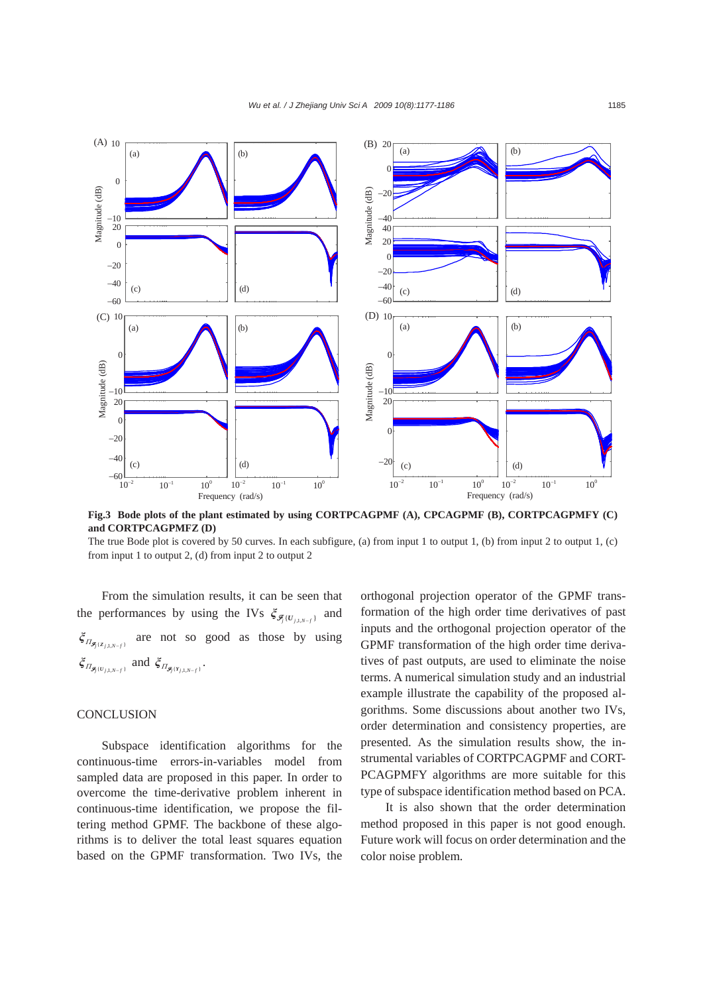

**Fig.3 Bode plots of the plant estimated by using CORTPCAGPMF (A), CPCAGPMF (B), CORTPCAGPMFY (C) and CORTPCAGPMFZ (D)** 

The true Bode plot is covered by 50 curves. In each subfigure, (a) from input 1 to output 1, (b) from input 2 to output 1, (c) from input 1 to output 2, (d) from input 2 to output 2

From the simulation results, it can be seen that the performances by using the IVs  $\zeta_{\mathcal{F}_i(U_{i+k-1})}$  and  ${\xi}_{\Pi_{\mathcal{F}_j(z_{j,1,N-f})}}$  are not so good as those by using  $\xi_{\Pi_{\mathcal{F}_i \{U_{j,1,N-f}\}}}$  and  $\xi_{\Pi_{\mathcal{F}_i \{Y_{j,1,N-f}\}}}$ .

### **CONCLUSION**

Subspace identification algorithms for the continuous-time errors-in-variables model from sampled data are proposed in this paper. In order to overcome the time-derivative problem inherent in continuous-time identification, we propose the filtering method GPMF. The backbone of these algorithms is to deliver the total least squares equation based on the GPMF transformation. Two IVs, the

orthogonal projection operator of the GPMF transformation of the high order time derivatives of past inputs and the orthogonal projection operator of the GPMF transformation of the high order time derivatives of past outputs, are used to eliminate the noise terms. A numerical simulation study and an industrial example illustrate the capability of the proposed algorithms. Some discussions about another two IVs, order determination and consistency properties, are presented. As the simulation results show, the instrumental variables of CORTPCAGPMF and CORT-PCAGPMFY algorithms are more suitable for this type of subspace identification method based on PCA.

It is also shown that the order determination method proposed in this paper is not good enough. Future work will focus on order determination and the color noise problem.